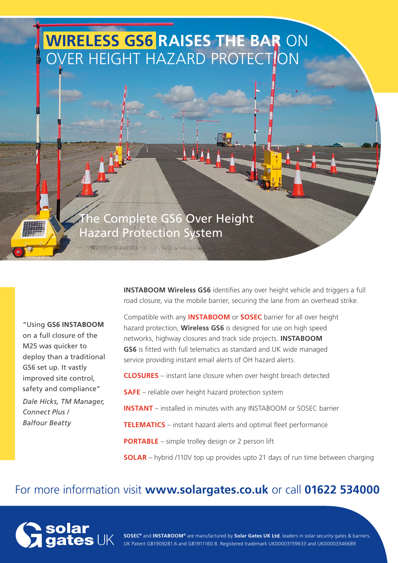# **WIRELESS GS6 RAISES THE BAR** ON VER HEIGHT HAZARD PROTECTION

The Complete GS6 Over Height Hazard Protection System

"Using **GS6 INSTABOOM** on a full closure of the M25 was quicker to deploy than a traditional GS6 set up. It vastly improved site control, safety and compliance" *Dale Hicks, TM Manager, Connect Plus / Balfour Beatty*

**INSTABOOM Wireless GS6** identifies any over height vehicle and triggers a full road closure, via the mobile barrier, securing the lane from an overhead strike.

Compatible with any **INSTABOOM** or **SOSEC** barrier for all over height hazard protection, **Wireless GS6** is designed for use on high speed networks, highway closures and track side projects. **INSTABOOM GS6** is fitted with full telematics as standard and UK wide managed service providing instant email alerts of OH hazard alerts.

**CLOSURES** – instant lane closure when over height breach detected

**SAFE** – reliable over height hazard protection system

**INSTANT** – installed in minutes with any INSTABOOM or SOSEC barrier

**TELEMATICS** – instant hazard alerts and optimal fleet performance

**PORTABLE** – simple trolley design or 2 person lift

**SOLAR** – hybrid /110V top up provides upto 21 days of run time between charging

### For more information visit **www.solargates.co.uk** or call **01622 534000**



**SOSEC®** and **INSTABOOM®** are manufactured by **Solar Gates UK Ltd**, leaders in solar security gates & barriers. UK Patent GB1909281.6 and GB1911160.8. Registered trademark UK00003159633 and UK00003346689